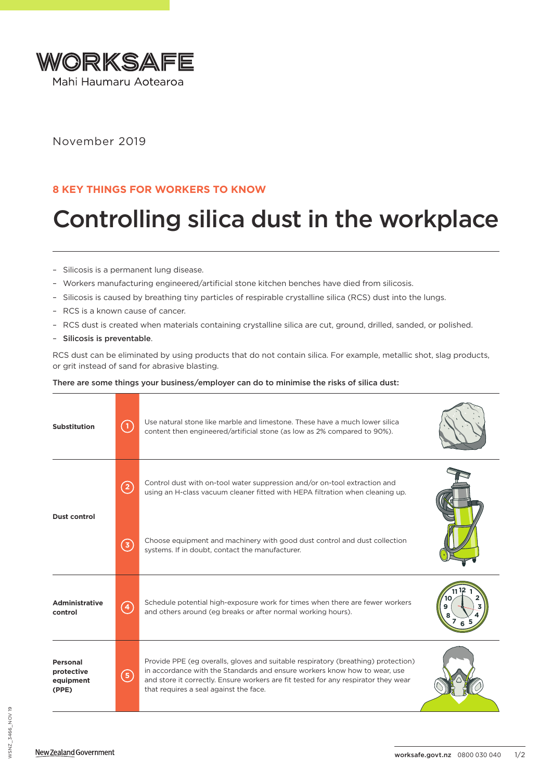

November 2019

## **8 KEY THINGS FOR WORKERS TO KNOW**

## Controlling silica dust in the workplace

- Silicosis is a permanent lung disease.
- Workers manufacturing engineered/artificial stone kitchen benches have died from silicosis.
- Silicosis is caused by breathing tiny particles of respirable crystalline silica (RCS) dust into the lungs.
- RCS is a known cause of cancer.
- RCS dust is created when materials containing crystalline silica are cut, ground, drilled, sanded, or polished.
- Silicosis is preventable.

RCS dust can be eliminated by using products that do not contain silica. For example, metallic shot, slag products, or grit instead of sand for abrasive blasting.

## There are some things your business/employer can do to minimise the risks of silica dust:

| <b>Substitution</b>                          | (1)               | Use natural stone like marble and limestone. These have a much lower silica<br>content then engineered/artificial stone (as low as 2% compared to 90%).                                                                                                                                        |  |
|----------------------------------------------|-------------------|------------------------------------------------------------------------------------------------------------------------------------------------------------------------------------------------------------------------------------------------------------------------------------------------|--|
| Dust control                                 | $\left( 2\right)$ | Control dust with on-tool water suppression and/or on-tool extraction and<br>using an H-class vacuum cleaner fitted with HEPA filtration when cleaning up.                                                                                                                                     |  |
|                                              | (3)               | Choose equipment and machinery with good dust control and dust collection<br>systems. If in doubt, contact the manufacturer.                                                                                                                                                                   |  |
| <b>Administrative</b><br>control             | $\left( 4\right)$ | Schedule potential high-exposure work for times when there are fewer workers<br>and others around (eg breaks or after normal working hours).                                                                                                                                                   |  |
| Personal<br>protective<br>equipment<br>(PPE) | (5)               | Provide PPE (eq overalls, gloves and suitable respiratory (breathing) protection)<br>in accordance with the Standards and ensure workers know how to wear, use<br>and store it correctly. Ensure workers are fit tested for any respirator they wear<br>that requires a seal against the face. |  |